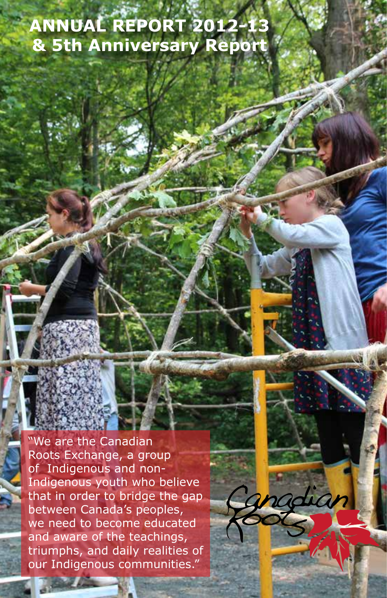### **ANNUAL REPORT 2012-13 & 5th Anniversary Report**

"We are the Canadian Roots Exchange, a group of Indigenous and non-Indigenous youth who believe that in order to bridge the gap between Canada's peoples, we need to become educated and aware of the teachings, triumphs, and daily realities of our Indigenous communities."

adian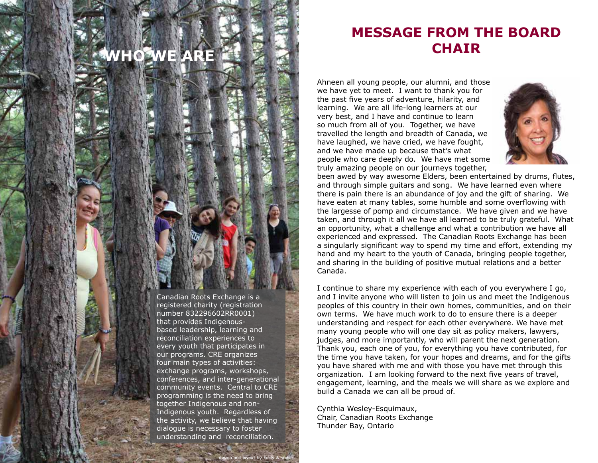## **WHO WE ARE**

Canadian Roots Exchange is a registered charity (registration number 832296602RR0001) that provides Indigenousbased leadership, learning and reconciliation experiences to every youth that participates in our programs. CRE organizes four main types of activities: exchange programs, workshops, conferences, and inter-generational community events. Central to CRE programming is the need to bring together Indigenous and non-Indigenous youth. Regardless of the activity, we believe that having dialogue is necessary to foster understanding and reconciliation.

design and layout by Emily & vibhor

#### **MESSAGE FROM THE BOARD CHAIR**

Ahneen all young people, our alumni, and those we have yet to meet. I want to thank you for the past five years of adventure, hilarity, and learning. We are all life-long learners at our very best, and I have and continue to learn so much from all of you. Together, we have travelled the length and breadth of Canada, we have laughed, we have cried, we have fought, and we have made up because that's what people who care deeply do. We have met some truly amazing people on our journeys together,



been awed by way awesome Elders, been entertained by drums, flutes, and through simple guitars and song. We have learned even where there is pain there is an abundance of joy and the gift of sharing. We have eaten at many tables, some humble and some overflowing with the largesse of pomp and circumstance. We have given and we have taken, and through it all we have all learned to be truly grateful. What an opportunity, what a challenge and what a contribution we have all experienced and expressed. The Canadian Roots Exchange has been a singularly significant way to spend my time and effort, extending my hand and my heart to the youth of Canada, bringing people together, and sharing in the building of positive mutual relations and a better Canada.

I continue to share my experience with each of you everywhere I go, and I invite anyone who will listen to join us and meet the Indigenous peoples of this country in their own homes, communities, and on their own terms. We have much work to do to ensure there is a deeper understanding and respect for each other everywhere. We have met many young people who will one day sit as policy makers, lawyers, judges, and more importantly, who will parent the next generation. Thank you, each one of you, for everything you have contributed, for the time you have taken, for your hopes and dreams, and for the gifts you have shared with me and with those you have met through this organization. I am looking forward to the next five years of travel, engagement, learning, and the meals we will share as we explore and build a Canada we can all be proud of.

Cynthia Wesley-Esquimaux, Chair, Canadian Roots Exchange Thunder Bay, Ontario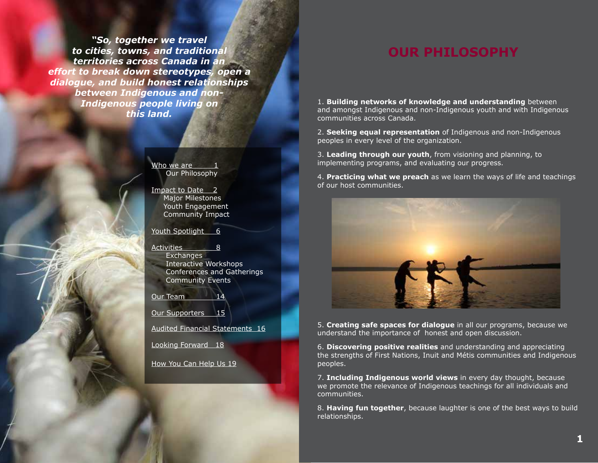*"So, together we travel to cities, towns, and traditional territories across Canada in an effort to break down stereotypes, open a dialogue, and build honest relationships between Indigenous and non-Indigenous people living on this land.*

> Who we are Our Philosophy

Impact to Date 2 Major Milestones Youth Engagement Community Impact

Youth Spotlight 6

Activities 8 **Exchanges**  Interactive Workshops Conferences and Gatherings Community Events

Our Team 14

Our Supporters 15

Audited Financial Statements 16

Looking Forward 18

How You Can Help Us 19

#### **OUR PHILOSOPHY**

1. **Building networks of knowledge and understanding** between and amongst Indigenous and non-Indigenous youth and with Indigenous communities across Canada.

2. **Seeking equal representation** of Indigenous and non-Indigenous peoples in every level of the organization.

3. **Leading through our youth**, from visioning and planning, to implementing programs, and evaluating our progress.

4. **Practicing what we preach** as we learn the ways of life and teachings of our host communities.



5. **Creating safe spaces for dialogue** in all our programs, because we understand the importance of honest and open discussion.

6. **Discovering positive realities** and understanding and appreciating the strengths of First Nations, Inuit and Métis communities and Indigenous peoples.

7. **Including Indigenous world views** in every day thought, because we promote the relevance of Indigenous teachings for all individuals and communities.

8. **Having fun together**, because laughter is one of the best ways to build relationships.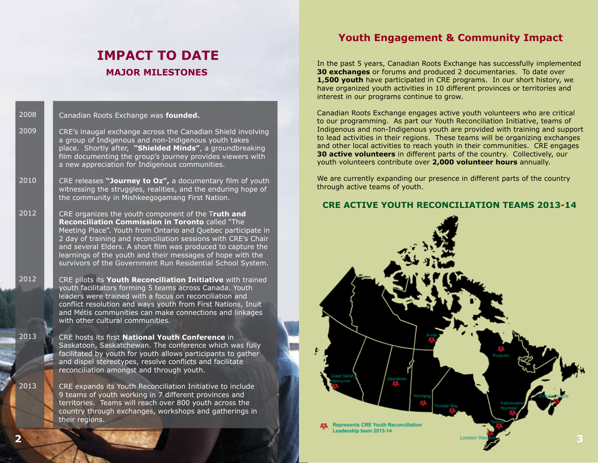#### **IMPACT TO DATE MAJOR MILESTONES**

Canadian Roots Exchange was **founded.** 2008

CRE's inaugal exchange across the Canadian Shield involving a group of Indigenous and non-Indigenous youth takes place. Shortly after, **"Shielded Minds"**, a groundbreaking film documenting the group's journey provides viewers with a new appreciation for Indigenous communities. 2009

CRE releases "Journey to Oz", a documentary film of youth witnessing the struggles, realities, and the enduring hope of the community in Mishkeegogamang First Nation. 2010

CRE organizes the youth component of the T**ruth and Reconciliation Commission in Toronto** called "The Meeting Place". Youth from Ontario and Quebec participate in 2 day of training and reconciliation sessions with CRE's Chair and several Elders. A short film was produced to capture the learnings of the youth and their messages of hope with the survivors of the Government Run Residential School System. 2012

> CRE pilots its **Youth Reconciliation Initiative** with trained youth facilitators forming 5 teams across Canada. Youth leaders were trained with a focus on reconciliation and conflict resolution and ways youth from First Nations, Inuit and Métis communities can make connections and linkages with other cultural communities.

CRE hosts its first **National Youth Conference** in Saskatoon, Saskatchewan. The conference which was fully facilitated by youth for youth allows participants to gather and dispel stereotypes, resolve conflicts and facilitate reconciliation amongst and through youth.

CRE expands its Youth Reconciliation Initiative to include 9 teams of youth working in 7 different provinces and territories. Teams will reach over 800 youth across the country through exchanges, workshops and gatherings in their regions.

#### **Youth Engagement & Community Impact**

In the past 5 years, Canadian Roots Exchange has successfully implemented **30 exchanges** or forums and produced 2 documentaries. To date over **1,500 youth** have participated in CRE programs. In our short history, we have organized youth activities in 10 different provinces or territories and interest in our programs continue to grow.

Canadian Roots Exchange engages active youth volunteers who are critical to our programming. As part our Youth Reconciliation Initiative, teams of Indigenous and non-Indigenous youth are provided with training and support to lead activities in their regions. These teams will be organizing exchanges and other local activities to reach youth in their communities. CRE engages **30 active volunteers** in different parts of the country. Collectively, our youth volunteers contribute over **2,000 volunteer hours** annually.

We are currently expanding our presence in different parts of the country through active teams of youth.

#### **CRE ACTIVE YOUTH RECONCILIATION TEAMS 2013-14**



2012

2013

2013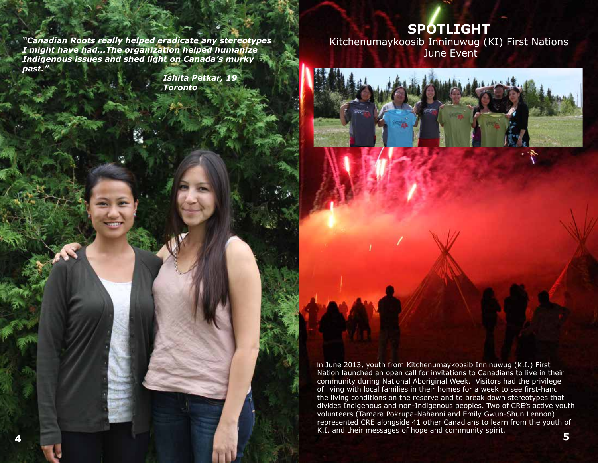**SPOTLIGHT**

*"Canadian Roots really helped eradicate any stereotypes I might have had...The organization helped humanize Indigenous issues and shed light on Canada's murky past."*

 *Ishita Petkar, 19 Toronto*

Kitchenumaykoosib Inninuwug (KI) First Nations June Event

![](_page_4_Picture_4.jpeg)

represented CRE alongside 41 other Canadians to learn from the youth of rest of the integration of the second community catalities and community contribution of the second of the second community contribution of the second In June 2013, youth from Kitchenumaykoosib Inninuwug (K.I.) First Nation launched an open call for invitations to Canadians to live in their community during National Aboriginal Week. Visitors had the privilege of living with local families in their homes for a week to see first-hand the living conditions on the reserve and to break down stereotypes that divides Indigenous and non-Indigenous peoples. Two of CRE's active youth volunteers (Tamara Pokrupa-Nahanni and Emily Gwun-Shun Lennon) K.I. and their messages of hope and community spirit. **4 7 5**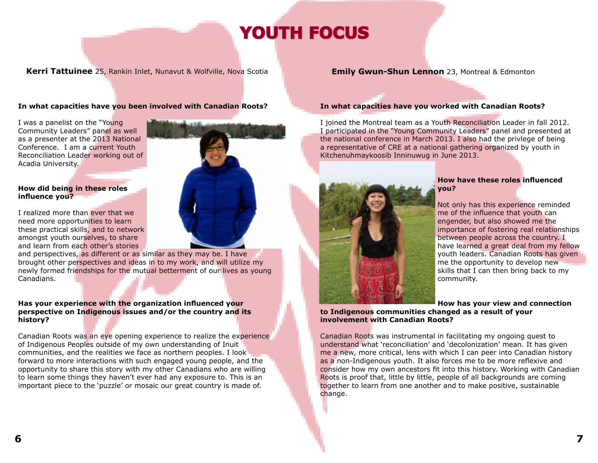## **YOUTH FOCUS**

#### **Kerri Tattuinee** 25, Rankin Inlet, Nunavut & Wolfville, Nova Scotia

#### **In what capacities have you been involved with Canadian Roots?**

I was a panelist on the "Young Community Leaders" panel as well as a presenter at the 2013 National Conference. I am a current Youth Reconciliation Leader working out of Acadia University.

#### **How did being in these roles**  influence you?

I realized more than ever that we need more opportunities to learn these practical skills, and to network amongst youth ourselves, to share and learn from each other's stories

and perspectives, as different or as similar as they may be. I have brought other perspectives and ideas in to my work, and will utilize my newly formed friendships for the mutual betterment of our lives as young Canadians.

#### **Has your experience with the organization influenced your perspective on Indigenous issues and/or the country and its history?**

Canadian Roots was an eye opening experience to realize the experience of Indigenous Peoples outside of my own understanding of Inuit communities, and the realities we face as northern peoples. I look forward to more interactions with such engaged young people, and the opportunity to share this story with my other Canadians who are willing to learn some things they haven't ever had any exposure to. This is an important piece to the 'puzzle' or mosaic our great country is made of.

#### **Emily Gwun-Shun Lennon** 23, Montreal & Edmonton

#### **In what capacities have you worked with Canadian Roots?**

I joined the Montreal team as a Youth Reconciliation Leader in fall 2012. I participated in the "Young Community Leaders" panel and presented at the national conference in March 2013. I also had the privlege of being a representative of CRE at a national gathering organized by youth in Kitchenuhmaykoosib Inninuwug in June 2013.

![](_page_5_Picture_13.jpeg)

#### **How have these roles influenced you?**

Not only has this experience reminded me of the influence that youth can engender, but also showed me the importance of fostering real relationships between people across the country. I have learned a great deal from my fellow youth leaders. Canadian Roots has given me the opportunity to develop new skills that I can then bring back to my community.

#### **How has your view and connection to Indigenous communities changed as a result of your involvement with Canadian Roots?**

Canadian Roots was instrumental in facilitating my ongoing quest to understand what 'reconciliation' and 'decolonization' mean. It has given me a new, more critical, lens with which I can peer into Canadian history as a non-Indigenous youth. It also forces me to be more reflexive and consider how my own ancestors fit into this history. Working with Canadian Roots is proof that, little by little, people of all backgrounds are coming together to learn from one another and to make positive, sustainable change.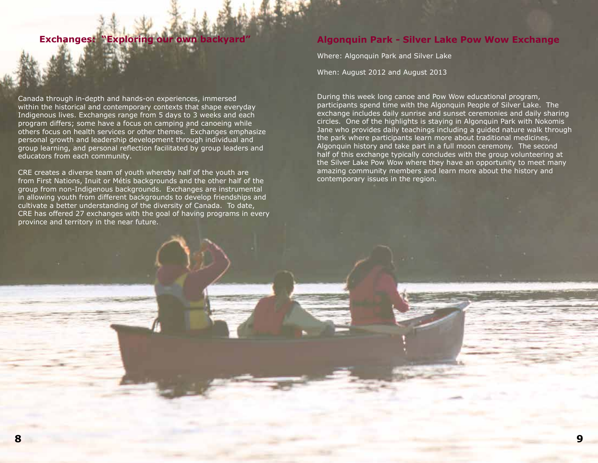#### **Exchanges: "Exploring our own backyard**

Canada through in-depth and hands-on experiences, immersed within the historical and contemporary contexts that shape everyday Indigenous lives. Exchanges range from 5 days to 3 weeks and each program differs; some have a focus on camping and canoeing while others focus on health services or other themes. Exchanges emphasize personal growth and leadership development through individual and group learning, and personal reflection facilitated by group leaders and educators from each community.

CRE creates a diverse team of youth whereby half of the youth are from First Nations, Inuit or Métis backgrounds and the other half of the group from non-Indigenous backgrounds. Exchanges are instrumental in allowing youth from different backgrounds to develop friendships and cultivate a better understanding of the diversity of Canada. To date, CRE has offered 27 exchanges with the goal of having programs in every province and territory in the near future.

#### **Algonquin Park - Silver Lake Pow Wow Exchange**

Where: Algonquin Park and Silver Lake

When: August 2012 and August 2013

During this week long canoe and Pow Wow educational program, participants spend time with the Algonquin People of Silver Lake. The exchange includes daily sunrise and sunset ceremonies and daily sharing circles. One of the highlights is staying in Algonquin Park with Nokomis Jane who provides daily teachings including a guided nature walk through the park where participants learn more about traditional medicines, Algonquin history and take part in a full moon ceremony. The second half of this exchange typically concludes with the group volunteering at the Silver Lake Pow Wow where they have an opportunity to meet many amazing community members and learn more about the history and contemporary issues in the region.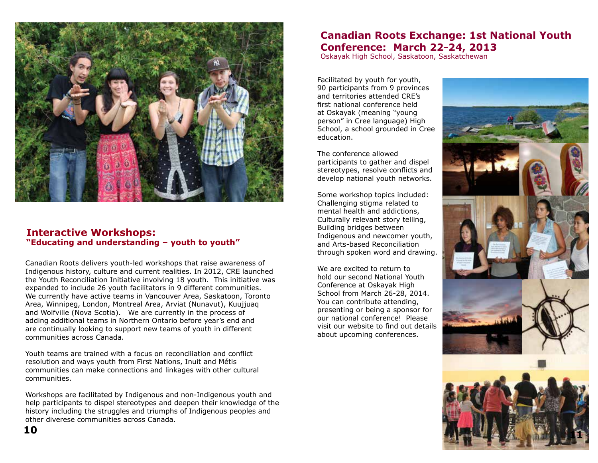![](_page_7_Picture_0.jpeg)

#### **Interactive Workshops: "Educating and understanding – youth to youth"**

Canadian Roots delivers youth-led workshops that raise awareness of Indigenous history, culture and current realities. In 2012, CRE launched the Youth Reconciliation Initiative involving 18 youth. This initiative was expanded to include 26 youth facilitators in 9 different communities. We currently have active teams in Vancouver Area, Saskatoon, Toronto Area, Winnipeg, London, Montreal Area, Arviat (Nunavut), Kuujjuaq and Wolfville (Nova Scotia). We are currently in the process of adding additional teams in Northern Ontario before year's end and are continually looking to support new teams of youth in different communities across Canada.

Youth teams are trained with a focus on reconciliation and conflict resolution and ways youth from First Nations, Inuit and Métis communities can make connections and linkages with other cultural communities.

Workshops are facilitated by Indigenous and non-Indigenous youth and help participants to dispel stereotypes and deepen their knowledge of the history including the struggles and triumphs of Indigenous peoples and other diverese communities across Canada.

#### **Canadian Roots Exchange: 1st National Youth Conference: March 22-24, 2013**

Oskayak High School, Saskatoon, Saskatchewan

Facilitated by youth for youth, 90 participants from 9 provinces and territories attended CRE's first national conference held at Oskayak (meaning "young person" in Cree language) High School, a school grounded in Cree education.

The conference allowed participants to gather and dispel stereotypes, resolve conflicts and develop national youth networks.

Some workshop topics included: Challenging stigma related to mental health and addictions, Culturally relevant story telling, Building bridges between Indigenous and newcomer youth, and Arts-based Reconciliation through spoken word and drawing.

We are excited to return to hold our second National Youth Conference at Oskayak High School from March 26-28, 2014. You can contribute attending, presenting or being a sponsor for our national conference! Please visit our website to find out details about upcoming conferences.

![](_page_7_Picture_11.jpeg)

![](_page_7_Picture_12.jpeg)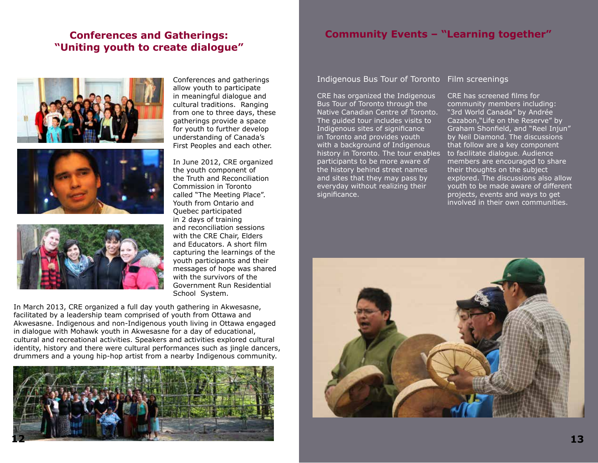#### **Conferences and Gatherings: "Uniting youth to create dialogue"**

![](_page_8_Picture_1.jpeg)

![](_page_8_Picture_2.jpeg)

![](_page_8_Picture_3.jpeg)

Conferences and gatherings allow youth to participate in meaningful dialogue and cultural traditions. Ranging from one to three days, these gatherings provide a space for youth to further develop understanding of Canada's First Peoples and each other.

In June 2012, CRE organized the youth component of the Truth and Reconciliation Commission in Toronto called "The Meeting Place". Youth from Ontario and Quebec participated in 2 days of training and reconciliation sessions with the CRE Chair, Elders and Educators. A short film capturing the learnings of the youth participants and their messages of hope was shared with the survivors of the Government Run Residential School System.

In March 2013, CRE organized a full day youth gathering in Akwesasne, facilitated by a leadership team comprised of youth from Ottawa and Akwesasne. Indigenous and non-Indigenous youth living in Ottawa engaged in dialogue with Mohawk youth in Akwesasne for a day of educational, cultural and recreational activities. Speakers and activities explored cultural identity, history and there were cultural performances such as jingle dancers, drummers and a young hip-hop artist from a nearby Indigenous community.

![](_page_8_Picture_7.jpeg)

#### **Community Events – "Learning together"**

Indigenous Bus Tour of Toronto Film screenings

CRE has organized the Indigenous Bus Tour of Toronto through the Native Canadian Centre of Toronto. The guided tour includes visits to Indigenous sites of significance in Toronto and provides youth with a background of Indigenous history in Toronto. The tour enables participants to be more aware of the history behind street names and sites that they may pass by everyday without realizing their significance.

CRE has screened films for community members including: "3rd World Canada" by Andrée Cazabon,"Life on the Reserve" by Graham Shonfield, and "Reel Injun" by Neil Diamond. The discussions that follow are a key component to facilitate dialogue. Audience members are encouraged to share their thoughts on the subject explored. The discussions also allow youth to be made aware of different projects, events and ways to get involved in their own communities.

![](_page_8_Picture_12.jpeg)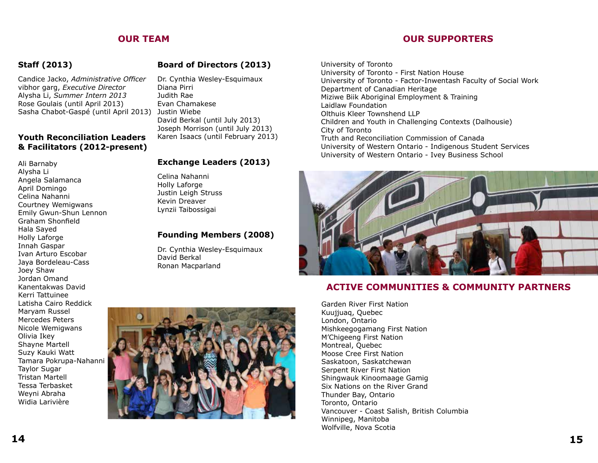#### **OUR TEAM**

#### **Staff (2013)**

Candice Jacko, *Administrative Officer* vibhor garg, *Executive Director* Alysha Li, Summer Intern 2013 Rose Goulais (until April 2013) Sasha Chabot-Gaspé (until April 2013) Justin Wiebe

#### **Youth Reconciliation Leaders & Facilitators (2012-present)**

Ali Barnaby Alysha Li Angela Salamanca April Domingo Celina Nahanni Courtney Wemigwans Emily Gwun-Shun Lennon Graham Shonfield Hala Sayed Holly Laforge Innah Gaspar Ivan Arturo Escobar Jaya Bordeleau-Cass Joey Shaw Jordan Omand Kanentakwas David Kerri Tattuinee Latisha Cairo Reddick Maryam Russel Mercedes Peters Nicole Wemigwans Olivia Ikey Shayne Martell Suzy Kauki Watt Tamara Pokrupa-Nahanni Taylor Sugar Tristan Martell Tessa Terbasket Weyni Abraha Widia Larivière

#### **Board of Directors (2013)**

Dr. Cynthia Wesley-Esquimaux Diana Pirri Judith Rae Evan Chamakese David Berkal (until July 2013) Joseph Morrison (until July 2013) Karen Isaacs (until February 2013)

#### **Exchange Leaders (2013)**

Celina Nahanni Justin Leigh Struss Kevin Dreaver Lynzii Taibossigai

#### **Founding Members (2008)**

Dr. Cynthia Wesley-Esquimaux David Berkal Ronan Macparland

University of Toronto University of Toronto - First Nation House University of Toronto - Factor-Inwentash Faculty of Social Work Department of Canadian Heritage Miziwe Biik Aboriginal Employment & Training Laidlaw Foundation Olthuis Kleer Townshend LLP Children and Youth in Challenging Contexts (Dalhousie) City of Toronto Truth and Reconciliation Commission of Canada University of Western Ontario - Indigenous Student Services University of Western Ontario - Ivey Business School

![](_page_9_Picture_12.jpeg)

#### **ACTIVE COMMUNITIES & COMMUNITY PARTNERS**

Garden River First Nation Kuujjuaq, Quebec London, Ontario Mishkeegogamang First Nation M'Chigeeng First Nation Montreal, Quebec Moose Cree First Nation Saskatoon, Saskatchewan Serpent River First Nation Shingwauk Kinoomaage Gamig Six Nations on the River Grand Thunder Bay, Ontario Toronto, Ontario Vancouver - Coast Salish, British Columbia Winnipeg, Manitoba Wolfville, Nova Scotia

# Holly Laforge

#### **OUR SUPPORTERS**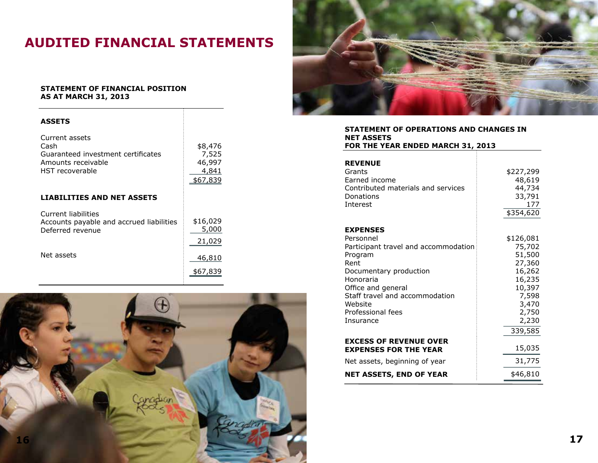### **AUDITED FINANCIAL STATEMENTS**

Æ.

#### **STATEMENT OF FINANCIAL POSITION AS AT MARCH 31, 2013**

| <b>ASSETS</b>                                                                                         |                                                 |
|-------------------------------------------------------------------------------------------------------|-------------------------------------------------|
| Current assets<br>Cash<br>Guaranteed investment certificates<br>Amounts receivable<br>HST recoverable | \$8,476<br>7,525<br>46,997<br>4,841<br>\$67,839 |
| <b>LIABILITIES AND NET ASSETS</b>                                                                     |                                                 |
| Current liabilities<br>Accounts payable and accrued liabilities<br>Deferred revenue                   | \$16,029<br>5,000<br>21,029                     |
| Net assets                                                                                            | 46,810                                          |
|                                                                                                       | \$67,839                                        |

![](_page_10_Picture_3.jpeg)

![](_page_10_Picture_4.jpeg)

| STATEMENT OF OPERATIONS AND CHANGES IN |  |
|----------------------------------------|--|
| <b>NET ASSETS</b>                      |  |
| FOR THE YEAR ENDED MARCH 31, 2013      |  |

| <b>REVENUE</b><br>Grants<br>Earned income<br>Contributed materials and services<br>Donations<br>Interest | \$227,299<br>48,619<br>44,734<br>33,791<br>177<br>\$354,620 |
|----------------------------------------------------------------------------------------------------------|-------------------------------------------------------------|
| <b>EXPENSES</b>                                                                                          |                                                             |
| Personnel                                                                                                | \$126,081                                                   |
| Participant travel and accommodation                                                                     | 75,702                                                      |
| Program                                                                                                  | 51,500                                                      |
| Rent                                                                                                     | 27,360                                                      |
| Documentary production                                                                                   | 16,262                                                      |
| Honoraria                                                                                                | 16,235                                                      |
| Office and general                                                                                       | 10,397                                                      |
| Staff travel and accommodation                                                                           | 7,598                                                       |
| Website                                                                                                  | 3,470                                                       |
| Professional fees                                                                                        | 2,750                                                       |
| Insurance                                                                                                | 2,230                                                       |
|                                                                                                          | 339,585                                                     |
| <b>EXCESS OF REVENUE OVER</b>                                                                            |                                                             |
| <b>EXPENSES FOR THE YEAR</b>                                                                             | 15,035                                                      |
| Net assets, beginning of year                                                                            | 31,775                                                      |
| <b>NET ASSETS, END OF YEAR</b>                                                                           | \$46,810                                                    |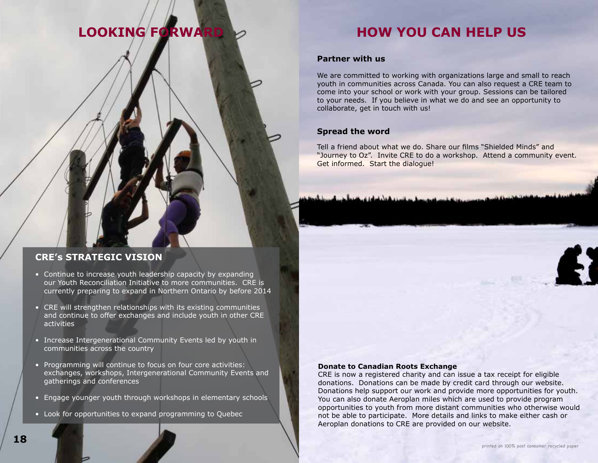## **LOOKING FORWA**

#### **HOW YOU CAN HELP US**

#### **Partner with us**

We are committed to working with organizations large and small to reach youth in communities across Canada. You can also request a CRE team to come into your school or work with your group. Sessions can be tailored to your needs. If you believe in what we do and see an opportunity to collaborate, get in touch with us!

#### **Spread the word**

Tell a friend about what we do. Share our films "Shielded Minds" and "Journey to Oz". Invite CRE to do a workshop. Attend a community event. Get informed. Start the dialogue!

#### **CRE's STRATEGIC VISION**

- Continue to increase youth leadership capacity by expanding our Youth Reconciliation Initiative to more communities. CRE is currently preparing to expand in Northern Ontario by before 2014
- CRE will strengthen relationships with its existing communities and continue to offer exchanges and include youth in other CRE activities
- Increase Intergenerational Community Events led by youth in communities across the country
- Programming will continue to focus on four core activities: exchanges, workshops, Intergenerational Community Events and gatherings and conferences
- Engage younger youth through workshops in elementary schools
- Look for opportunities to expand programming to Quebec

#### **Donate to Canadian Roots Exchange**

CRE is now a registered charity and can issue a tax receipt for eligible donations. Donations can be made by credit card through our website. Donations help support our work and provide more opportunities for youth. You can also donate Aeroplan miles which are used to provide program opportunities to youth from more distant communities who otherwise would not be able to participate. More details and links to make either cash or Aeroplan donations to CRE are provided on our website.

![](_page_11_Picture_17.jpeg)